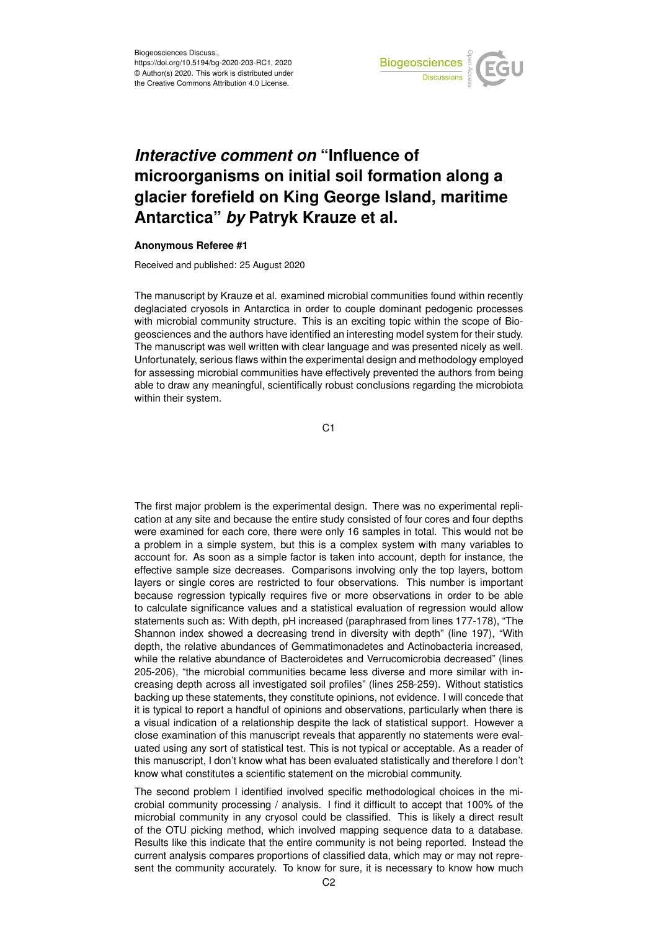

## *Interactive comment on* **"Influence of microorganisms on initial soil formation along a glacier forefield on King George Island, maritime Antarctica"** *by* **Patryk Krauze et al.**

## **Anonymous Referee #1**

Received and published: 25 August 2020

The manuscript by Krauze et al. examined microbial communities found within recently deglaciated cryosols in Antarctica in order to couple dominant pedogenic processes with microbial community structure. This is an exciting topic within the scope of Biogeosciences and the authors have identified an interesting model system for their study. The manuscript was well written with clear language and was presented nicely as well. Unfortunately, serious flaws within the experimental design and methodology employed for assessing microbial communities have effectively prevented the authors from being able to draw any meaningful, scientifically robust conclusions regarding the microbiota within their system.

C1

The first major problem is the experimental design. There was no experimental replication at any site and because the entire study consisted of four cores and four depths were examined for each core, there were only 16 samples in total. This would not be a problem in a simple system, but this is a complex system with many variables to account for. As soon as a simple factor is taken into account, depth for instance, the effective sample size decreases. Comparisons involving only the top layers, bottom layers or single cores are restricted to four observations. This number is important because regression typically requires five or more observations in order to be able to calculate significance values and a statistical evaluation of regression would allow statements such as: With depth, pH increased (paraphrased from lines 177-178), "The Shannon index showed a decreasing trend in diversity with depth" (line 197), "With depth, the relative abundances of Gemmatimonadetes and Actinobacteria increased, while the relative abundance of Bacteroidetes and Verrucomicrobia decreased" (lines 205-206), "the microbial communities became less diverse and more similar with increasing depth across all investigated soil profiles" (lines 258-259). Without statistics backing up these statements, they constitute opinions, not evidence. I will concede that it is typical to report a handful of opinions and observations, particularly when there is a visual indication of a relationship despite the lack of statistical support. However a close examination of this manuscript reveals that apparently no statements were evaluated using any sort of statistical test. This is not typical or acceptable. As a reader of this manuscript, I don't know what has been evaluated statistically and therefore I don't know what constitutes a scientific statement on the microbial community.

The second problem I identified involved specific methodological choices in the microbial community processing / analysis. I find it difficult to accept that 100% of the microbial community in any cryosol could be classified. This is likely a direct result of the OTU picking method, which involved mapping sequence data to a database. Results like this indicate that the entire community is not being reported. Instead the current analysis compares proportions of classified data, which may or may not represent the community accurately. To know for sure, it is necessary to know how much